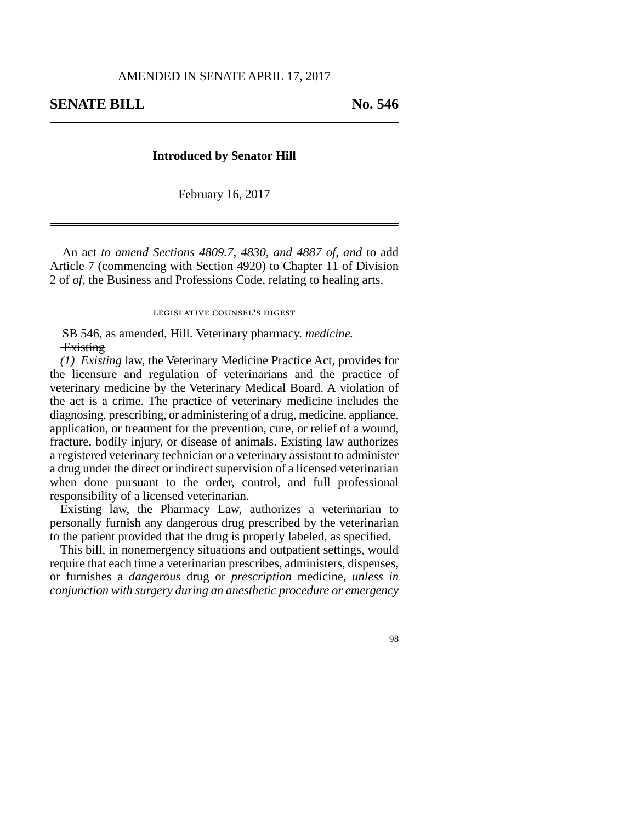## **Introduced by Senator Hill**

February 16, 2017

An act *to amend Sections 4809.7, 4830, and 4887 of, and* to add Article 7 (commencing with Section 4920) to Chapter 11 of Division 2 of *of,* the Business and Professions Code, relating to healing arts.

legislative counsel's digest

SB 546, as amended, Hill. Veterinary pharmacy. *medicine.* **Existing** 

*(1) Existing* law, the Veterinary Medicine Practice Act, provides for the licensure and regulation of veterinarians and the practice of veterinary medicine by the Veterinary Medical Board. A violation of the act is a crime. The practice of veterinary medicine includes the diagnosing, prescribing, or administering of a drug, medicine, appliance, application, or treatment for the prevention, cure, or relief of a wound, fracture, bodily injury, or disease of animals. Existing law authorizes a registered veterinary technician or a veterinary assistant to administer a drug under the direct or indirect supervision of a licensed veterinarian when done pursuant to the order, control, and full professional responsibility of a licensed veterinarian.

Existing law, the Pharmacy Law, authorizes a veterinarian to personally furnish any dangerous drug prescribed by the veterinarian to the patient provided that the drug is properly labeled, as specified.

This bill, in nonemergency situations and outpatient settings, would require that each time a veterinarian prescribes, administers, dispenses, or furnishes a *dangerous* drug or *prescription* medicine, *unless in conjunction with surgery during an anesthetic procedure or emergency*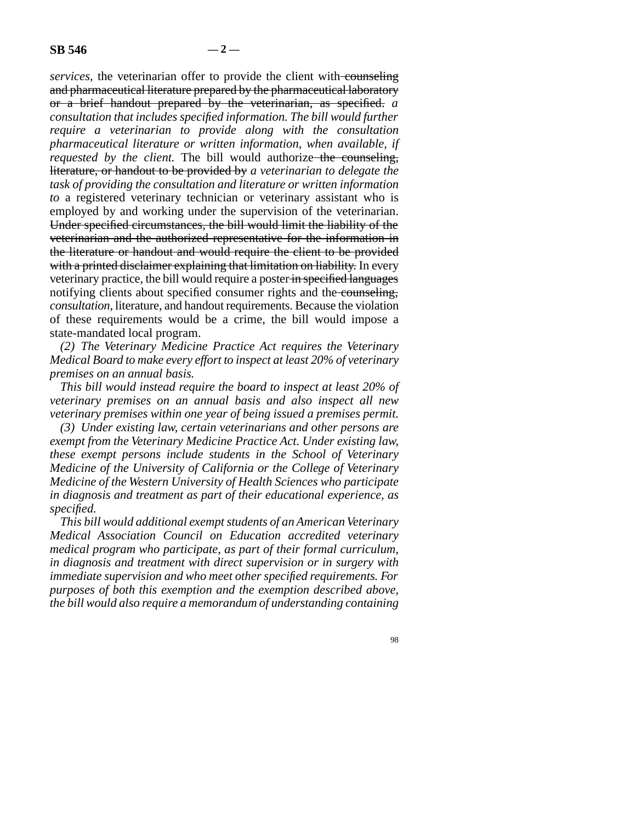*services*, the veterinarian offer to provide the client with counseling and pharmaceutical literature prepared by the pharmaceutical laboratory or a brief handout prepared by the veterinarian, as specified. *a consultation that includes specified information. The bill would further require a veterinarian to provide along with the consultation pharmaceutical literature or written information, when available, if requested by the client.* The bill would authorize the counseling, literature, or handout to be provided by *a veterinarian to delegate the task of providing the consultation and literature or written information to* a registered veterinary technician or veterinary assistant who is employed by and working under the supervision of the veterinarian. Under specified circumstances, the bill would limit the liability of the veterinarian and the authorized representative for the information in the literature or handout and would require the client to be provided with a printed disclaimer explaining that limitation on liability. In every veterinary practice, the bill would require a poster in specified languages notifying clients about specified consumer rights and the counseling, *consultation,* literature, and handout requirements. Because the violation of these requirements would be a crime, the bill would impose a state-mandated local program.

*(2) The Veterinary Medicine Practice Act requires the Veterinary Medical Board to make every effort to inspect at least 20% of veterinary premises on an annual basis.*

*This bill would instead require the board to inspect at least 20% of veterinary premises on an annual basis and also inspect all new veterinary premises within one year of being issued a premises permit.*

*(3) Under existing law, certain veterinarians and other persons are exempt from the Veterinary Medicine Practice Act. Under existing law, these exempt persons include students in the School of Veterinary Medicine of the University of California or the College of Veterinary Medicine of the Western University of Health Sciences who participate in diagnosis and treatment as part of their educational experience, as specified.*

*This bill would additional exempt students of an American Veterinary Medical Association Council on Education accredited veterinary medical program who participate, as part of their formal curriculum, in diagnosis and treatment with direct supervision or in surgery with immediate supervision and who meet other specified requirements. For purposes of both this exemption and the exemption described above, the bill would also require a memorandum of understanding containing*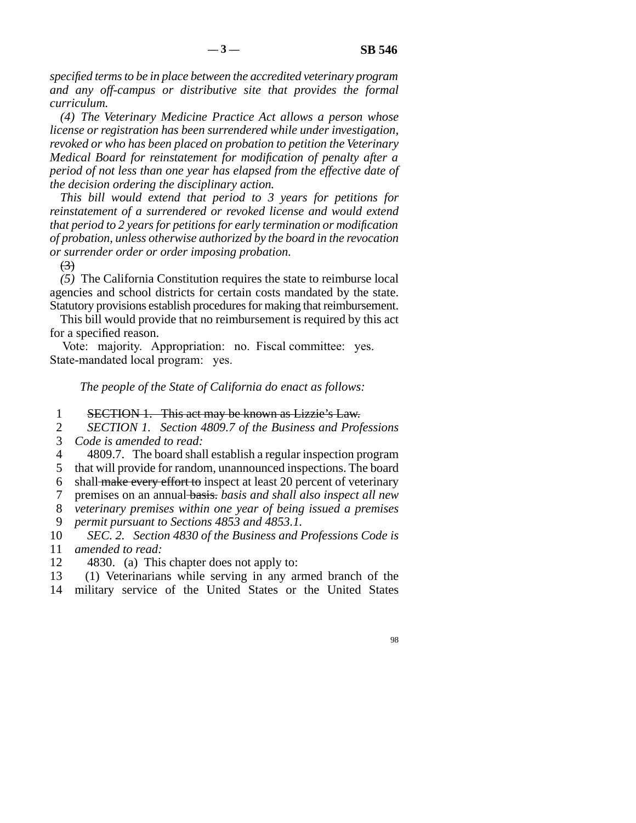*specified terms to be in place between the accredited veterinary program and any off-campus or distributive site that provides the formal curriculum.*

*(4) The Veterinary Medicine Practice Act allows a person whose license or registration has been surrendered while under investigation, revoked or who has been placed on probation to petition the Veterinary Medical Board for reinstatement for modification of penalty after a period of not less than one year has elapsed from the effective date of the decision ordering the disciplinary action.*

*This bill would extend that period to 3 years for petitions for reinstatement of a surrendered or revoked license and would extend that period to 2 years for petitions for early termination or modification of probation, unless otherwise authorized by the board in the revocation or surrender order or order imposing probation.*

 $\left(3\right)$ 

*(5)* The California Constitution requires the state to reimburse local agencies and school districts for certain costs mandated by the state. Statutory provisions establish procedures for making that reimbursement.

This bill would provide that no reimbursement is required by this act for a specified reason.

Vote: majority. Appropriation: no. Fiscal committee: yes. State-mandated local program: yes.

*The people of the State of California do enact as follows:*

## 1 SECTION 1. This act may be known as Lizzie's Law.

2 *SECTION 1. Section 4809.7 of the Business and Professions* 3 *Code is amended to read:* 

4 4809.7. The board shall establish a regular inspection program 5 that will provide for random, unannounced inspections. The board

6 shall make every effort to inspect at least 20 percent of veterinary

line 7 premises on an annual basis. *basis and shall also inspect all new*

line 8 *veterinary premises within one year of being issued a premises*

9 *permit pursuant to Sections 4853 and 4853.1.* 

10 *SEC. 2. Section 4830 of the Business and Professions Code is* 11 *amended to read:* 

12 4830. (a) This chapter does not apply to:

13 (1) Veterinarians while serving in any armed branch of the

14 military service of the United States or the United States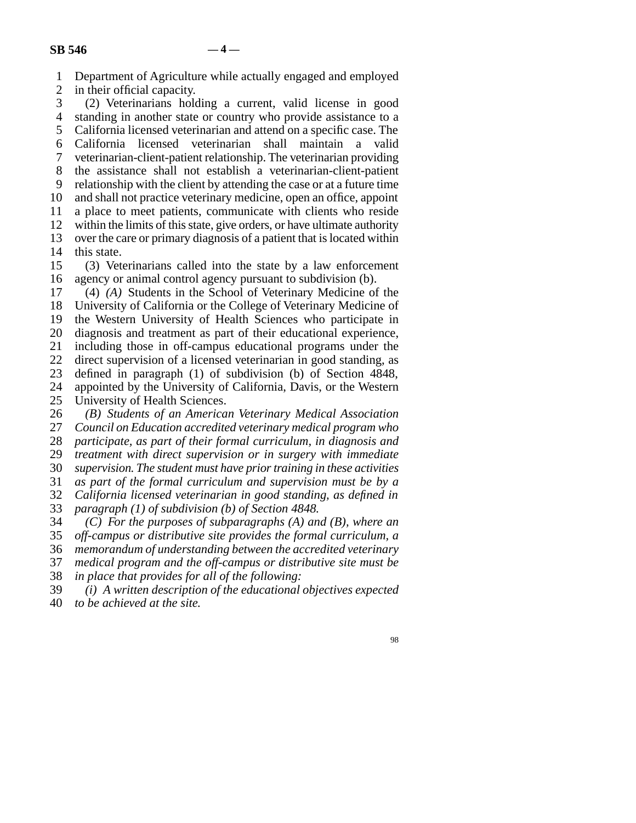line 1 Department of Agriculture while actually engaged and employed

2 in their official capacity.<br>3 (2) Veterinarians hold  $(2)$  Veterinarians holding a current, valid license in good 4 standing in another state or country who provide assistance to a 5 California licensed veterinarian and attend on a specific case. The line 6 California licensed veterinarian shall maintain a valid 7 veterinarian-client-patient relationship. The veterinarian providing 8 the assistance shall not establish a veterinarian-client-patient 9 relationship with the client by attending the case or at a future time 10 and shall not practice veterinary medicine, open an office, appoint 11 a place to meet patients, communicate with clients who reside 12 within the limits of this state, give orders, or have ultimate authority 13 over the care or primary diagnosis of a patient that is located within

14 this state.

15 (3) Veterinarians called into the state by a law enforcement 16 agency or animal control agency pursuant to subdivision (b).

17 (4) *(A)* Students in the School of Veterinary Medicine of the 18 University of California or the College of Veterinary Medicine of 19 the Western University of Health Sciences who participate in 20 diagnosis and treatment as part of their educational experience, 21 including those in off-campus educational programs under the 22 direct supervision of a licensed veterinarian in good standing, as 23 defined in paragraph (1) of subdivision (b) of Section 4848, 24 appointed by the University of California, Davis, or the Western 25 University of Health Sciences. University of Health Sciences.

 line 26 *(B) Students of an American Veterinary Medical Association* Council on Education accredited veterinary medical program who 28 *participate, as part of their formal curriculum, in diagnosis and* 29 *treatment with direct supervision or in surgery with immediate*  line 30 *supervision. The student must have prior training in these activities* line 31 *as part of the formal curriculum and supervision must be by a* line 32 *California licensed veterinarian in good standing, as defined in* 33 *paragraph (1) of subdivision (b) of Section 4848.* 

line 34 *(C) For the purposes of subparagraphs (A) and (B), where an*

35 off-campus or distributive site provides the formal curriculum, a line 36 *memorandum of understanding between the accredited veterinary*

line 37 *medical program and the off-campus or distributive site must be*

38 *in place that provides for all of the following:* 

 line 39 *(i) A written description of the educational objectives expected* line 40 *to be achieved at the site.*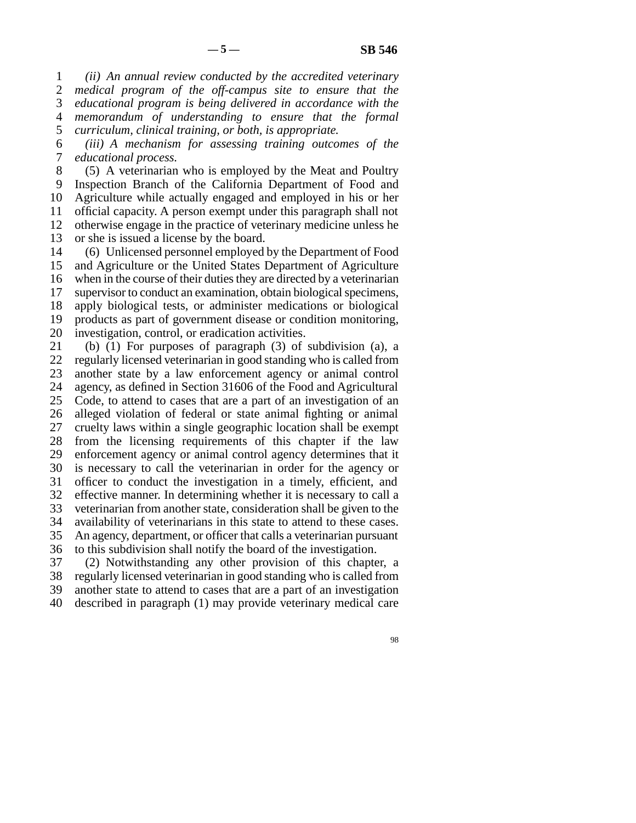line 1 *(ii) An annual review conducted by the accredited veterinary* 2 *medical program of the off-campus site to ensure that the*  line 3 *educational program is being delivered in accordance with the* line 4 *memorandum of understanding to ensure that the formal* line 5 *curriculum, clinical training, or both, is appropriate.*

 line 6 *(iii) A mechanism for assessing training outcomes of the* 7 *educational process.* 

8 (5) A veterinarian who is employed by the Meat and Poultry 9 Inspection Branch of the California Department of Food and 10 Agriculture while actually engaged and employed in his or her 11 official capacity. A person exempt under this paragraph shall not 12 otherwise engage in the practice of veterinary medicine unless he 13 or she is issued a license by the board. 14 (6) Unlicensed personnel employed by the Department of Food

15 and Agriculture or the United States Department of Agriculture 16 when in the course of their duties they are directed by a veterinarian 17 supervisor to conduct an examination, obtain biological specimens, 18 apply biological tests, or administer medications or biological 19 products as part of government disease or condition monitoring, 20 investigation, control, or eradication activities.

21 (b) (1) For purposes of paragraph (3) of subdivision (a), a 22 regularly licensed veterinarian in good standing who is called from 23 another state by a law enforcement agency or animal control 24 agency, as defined in Section 31606 of the Food and Agricultural<br>25 Code, to attend to cases that are a part of an investigation of an Code, to attend to cases that are a part of an investigation of an 26 alleged violation of federal or state animal fighting or animal 27 cruelty laws within a single geographic location shall be exempt 28 from the licensing requirements of this chapter if the law 29 enforcement agency or animal control agency determines that it 30 is necessary to call the veterinarian in order for the agency or 31 officer to conduct the investigation in a timely, efficient, and 32 effective manner. In determining whether it is necessary to call a 33 veterinarian from another state, consideration shall be given to the 34 availability of veterinarians in this state to attend to these cases. 35 An agency, department, or officer that calls a veterinarian pursuant

36 to this subdivision shall notify the board of the investigation.

37 (2) Notwithstanding any other provision of this chapter, a 38 regularly licensed veterinarian in good standing who is called from 39 another state to attend to cases that are a part of an investigation

40 described in paragraph (1) may provide veterinary medical care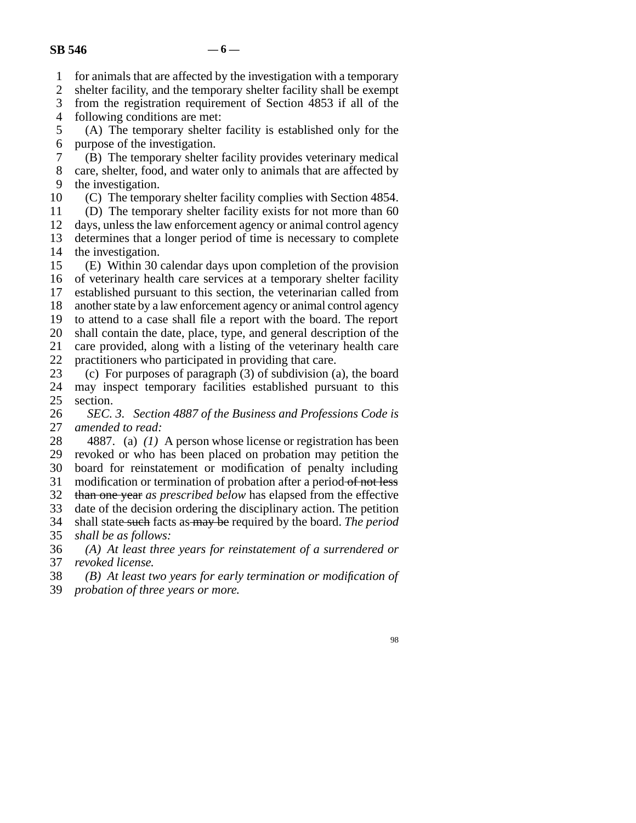1 for animals that are affected by the investigation with a temporary

2 shelter facility, and the temporary shelter facility shall be exempt<br>3 from the registration requirement of Section 4853 if all of the

from the registration requirement of Section 4853 if all of the 4 following conditions are met:

5 (A) The temporary shelter facility is established only for the 6 purpose of the investigation.

 line 7 (B) The temporary shelter facility provides veterinary medical 8 care, shelter, food, and water only to animals that are affected by 9 the investigation.

10 (C) The temporary shelter facility complies with Section 4854.

11 (D) The temporary shelter facility exists for not more than 60

12 days, unless the law enforcement agency or animal control agency 13 determines that a longer period of time is necessary to complete 14 the investigation.

15 (E) Within 30 calendar days upon completion of the provision 16 of veterinary health care services at a temporary shelter facility 17 established pursuant to this section, the veterinarian called from 18 another state by a law enforcement agency or animal control agency 19 to attend to a case shall file a report with the board. The report 20 shall contain the date, place, type, and general description of the 21 care provided, along with a listing of the veterinary health care

22 practitioners who participated in providing that care.<br>23 (c) For purposes of paragraph  $(3)$  of subdivision  $(3)$ (c) For purposes of paragraph  $(3)$  of subdivision (a), the board 24 may inspect temporary facilities established pursuant to this 25 section. section.

26 *SEC. 3. Section 4887 of the Business and Professions Code is* 27 *amended to read:* amended to read:

28 4887. (a) (1) A person whose license or registration has been 29 revoked or who has been placed on probation may petition the

30 board for reinstatement or modification of penalty including

31 modification or termination of probation after a period of not less

32 than one year *as prescribed below* has elapsed from the effective

33 date of the decision ordering the disciplinary action. The petition

 line 34 shall state such facts as may be required by the board. *The period* 35 *shall be as follows:* 

 line 36 *(A) At least three years for reinstatement of a surrendered or* 37 *revoked license.* 

line 38 *(B) At least two years for early termination or modification of*

39 *probation of three years or more.*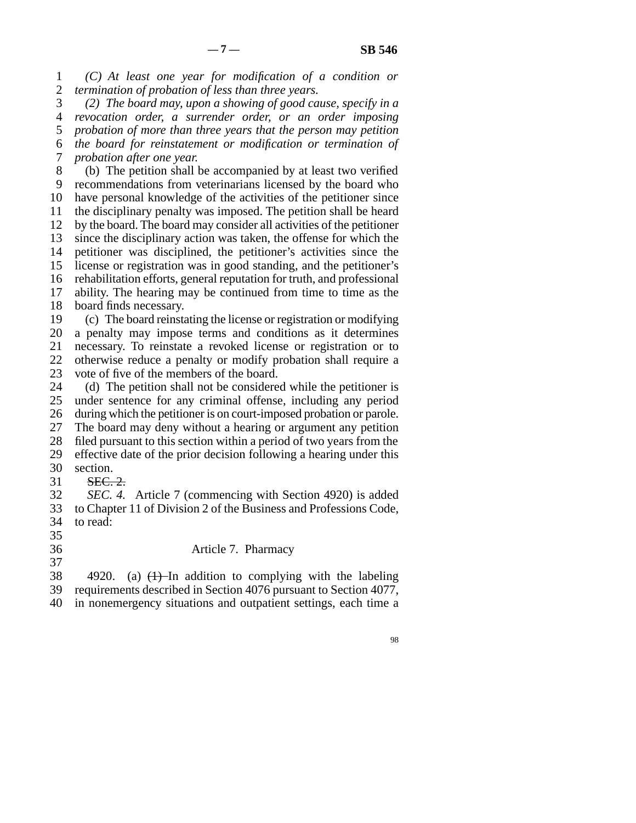line 1 *(C) At least one year for modification of a condition or* 2 *termination of probation of less than three years.* 

 line 3 *(2) The board may, upon a showing of good cause, specify in a* line 4 *revocation order, a surrender order, or an order imposing* 5 *probation of more than three years that the person may petition*  line 6 *the board for reinstatement or modification or termination of* 7 *probation after one year.* 

8 (b) The petition shall be accompanied by at least two verified 9 recommendations from veterinarians licensed by the board who 10 have personal knowledge of the activities of the petitioner since 11 the disciplinary penalty was imposed. The petition shall be heard 12 by the board. The board may consider all activities of the petitioner 13 since the disciplinary action was taken, the offense for which the 14 petitioner was disciplined, the petitioner's activities since the 15 license or registration was in good standing, and the petitioner's 16 rehabilitation efforts, general reputation for truth, and professional 17 ability. The hearing may be continued from time to time as the 18 board finds necessary.

19 (c) The board reinstating the license or registration or modifying 20 a penalty may impose terms and conditions as it determines 21 necessary. To reinstate a revoked license or registration or to 22 otherwise reduce a penalty or modify probation shall require a 23 vote of five of the members of the board.

24 (d) The petition shall not be considered while the petitioner is 25 under sentence for any criminal offense, including any period under sentence for any criminal offense, including any period 26 during which the petitioner is on court-imposed probation or parole. 27 The board may deny without a hearing or argument any petition 28 filed pursuant to this section within a period of two years from the 29 effective date of the prior decision following a hearing under this 30 section. 31 SEC. 2.

 line 32 *SEC. 4.* Article 7 (commencing with Section 4920) is added 33 to Chapter 11 of Division 2 of the Business and Professions Code, 34 to read:

 $35$ 

37

36 **Article 7. Pharmacy** 

38 4920. (a)  $\left(1\right)$ -In addition to complying with the labeling 39 requirements described in Section 4076 pursuant to Section 4077, 40 in nonemergency situations and outpatient settings, each time a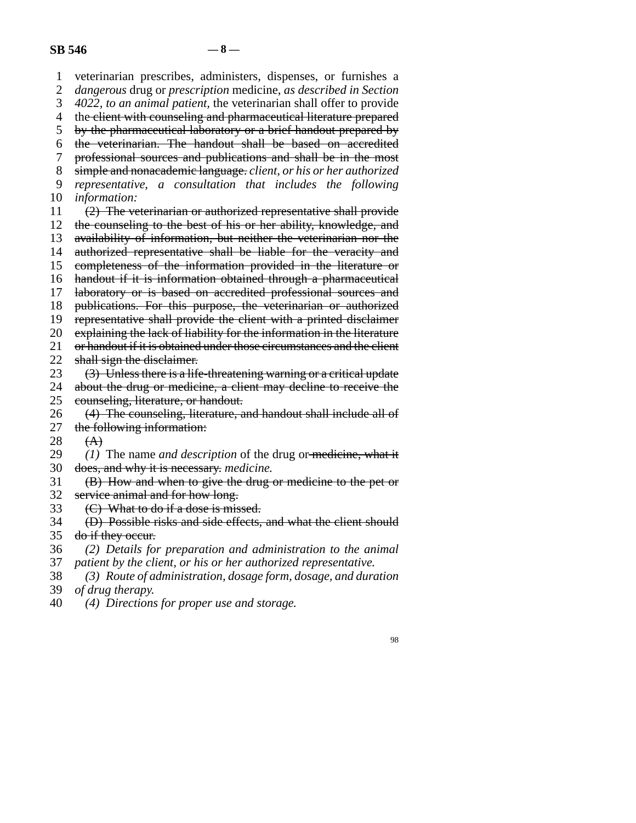line 1 veterinarian prescribes, administers, dispenses, or furnishes a line 2 *dangerous* drug or *prescription* medicine, *as described in Section* 3 *4022, to an animal patient, the veterinarian shall offer to provide* 4 the client with counseling and pharmaceutical literature prepared 5 by the pharmaceutical laboratory or a brief handout prepared by line 6 the veterinarian. The handout shall be based on accredited 7 professional sources and publications and shall be in the most line 8 simple and nonacademic language. *client, or his or her authorized* line 9 *representative, a consultation that includes the following* 10 *information*: 11  $(2)$  The veterinarian or authorized representative shall provide 12 the counseling to the best of his or her ability, knowledge, and 13 availability of information, but neither the veterinarian nor the 14 authorized representative shall be liable for the veracity and 15 completeness of the information provided in the literature or 16 handout if it is information obtained through a pharmaceutical 17 laboratory or is based on accredited professional sources and 18 publications. For this purpose, the veterinarian or authorized 19 representative shall provide the client with a printed disclaimer 20 explaining the lack of liability for the information in the literature 21 or handout if it is obtained under those circumstances and the client 22 shall sign the disclaimer.<br>23  $(3)$  Unless there is a life (3) Unless there is a life-threatening warning or a critical update 24 about the drug or medicine, a client may decline to receive the counseling, literature, or handout. counseling, literature, or handout. 26 (4) The counseling, literature, and handout shall include all of the following information: the following information: 28  $(A)$ 29 (1) The name *and description* of the drug or medicine, what it 30 does, and why it is necessary. medicine. 31 (B) How and when to give the drug or medicine to the pet or 32 service animal and for how long. 33  $\left($ C) What to do if a dose is missed. 34 (D) Possible risks and side effects, and what the client should 35 do if they occur. line 36 *(2) Details for preparation and administration to the animal* 37 patient by the client, or his or her authorized representative. line 38 *(3) Route of administration, dosage form, dosage, and duration* 39 *of drug therapy.* line 40 *(4) Directions for proper use and storage.*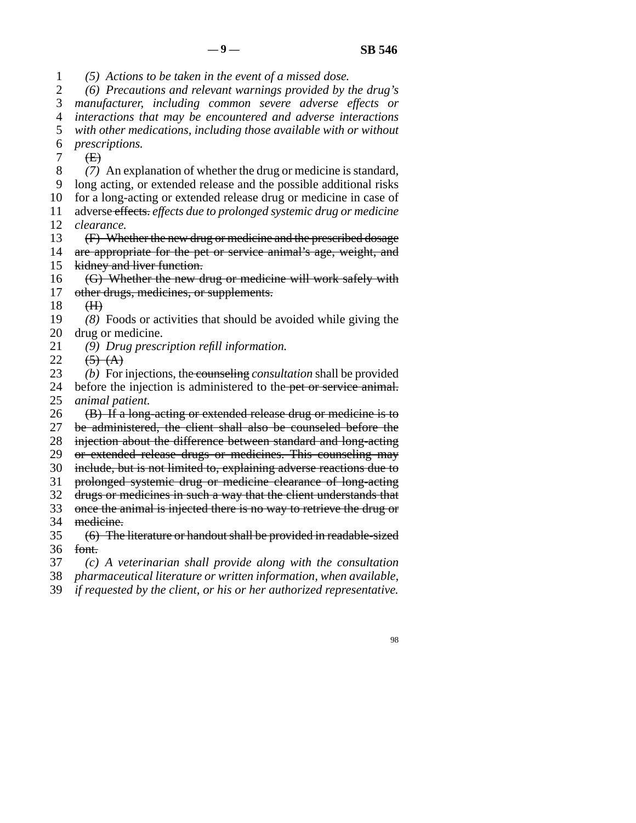line 1 *(5) Actions to be taken in the event of a missed dose.*

 line 2 *(6) Precautions and relevant warnings provided by the drug's* 3 *manufacturer, including common severe adverse effects or*  line 4 *interactions that may be encountered and adverse interactions* 5 with other medications, including those available with or without

line 6 *prescriptions.*

 $7 \quad \textcirc{E}$ 

line 8 *(7)* An explanation of whether the drug or medicine is standard,

9 long acting, or extended release and the possible additional risks

10 for a long-acting or extended release drug or medicine in case of

11 adverse effects. *effects due to prolonged systemic drug or medicine* 12 *clearance*.

13 (F) Whether the new drug or medicine and the prescribed dosage<br>14 are appropriate for the pet or service animal's age. weight, and are appropriate for the pet or service animal's age, weight, and

15 kidney and liver function.

 $16$  (G) Whether the new drug or medicine will work safely with 17 other drugs, medicines, or supplements.

 $18$  (H)

19 (8) Foods or activities that should be avoided while giving the 20 drug or medicine.

21 (9) *Drug prescription refill information.* 

22  $(5)$   $(A)$ <br>23  $(b)$  For

(b) For injections, the counseling *consultation* shall be provided

24 before the injection is administered to the pet or service animal.<br>25 *animal patient*. *animal patient.* 

26 (B) If a long-acting or extended release drug or medicine is to

27 be administered, the client shall also be counseled before the

28 injection about the difference between standard and long-acting

29 or extended release drugs or medicines. This counseling may

30 include, but is not limited to, explaining adverse reactions due to

31 prolonged systemic drug or medicine clearance of long-acting 32 drugs or medicines in such a way that the client understands that

33 once the animal is injected there is no way to retrieve the drug or

34 medicine.

35 (6) The literature or handout shall be provided in readable-sized 36 font.

line 37 *(c) A veterinarian shall provide along with the consultation*

38 *pharmaceutical literature or written information, when available,* 

39 *if requested by the client, or his or her authorized representative.*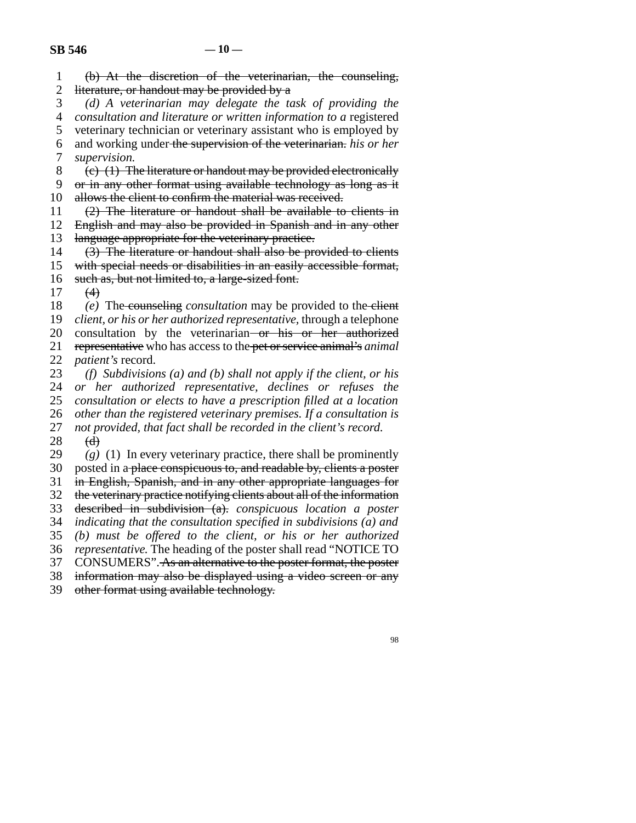| $\mathbf{1}$   |                                                                                                           |
|----------------|-----------------------------------------------------------------------------------------------------------|
| $\overline{2}$ | (b) At the discretion of the veterinarian, the counseling,<br>literature, or handout may be provided by a |
| 3              | (d) A veterinarian may delegate the task of providing the                                                 |
| $\overline{4}$ | consultation and literature or written information to a registered                                        |
| 5              | veterinary technician or veterinary assistant who is employed by                                          |
| 6              | and working under the supervision of the veterinarian. his or her                                         |
| 7              | supervision.                                                                                              |
| 8              | $(e)$ (1) The literature or handout may be provided electronically                                        |
| 9              | or in any other format using available technology as long as it                                           |
| 10             | allows the client to confirm the material was received.                                                   |
| 11             | (2) The literature or handout shall be available to clients in                                            |
| 12             | English and may also be provided in Spanish and in any other                                              |
| 13             | language appropriate for the veterinary practice.                                                         |
| 14             | (3) The literature or handout shall also be provided to clients                                           |
| 15             | with special needs or disabilities in an easily accessible format,                                        |
| 16             | such as, but not limited to, a large-sized font.                                                          |
| 17             | (4)                                                                                                       |
| 18             | (e) The counseling <i>consultation</i> may be provided to the elient                                      |
| 19             | client, or his or her authorized representative, through a telephone                                      |
| 20             | consultation by the veterinarian or his or her authorized                                                 |
| 21             | representative who has access to the pet or service animal's animal                                       |
| 22             | patient's record.                                                                                         |
| 23             | (f) Subdivisions (a) and (b) shall not apply if the client, or his                                        |
| 24             | or her authorized representative, declines or refuses the                                                 |
| 25             | consultation or elects to have a prescription filled at a location                                        |
| 26             | other than the registered veterinary premises. If a consultation is                                       |
| 27             | not provided, that fact shall be recorded in the client's record.                                         |
| 28             | (d)                                                                                                       |
| 29             | $(g)$ (1) In every veterinary practice, there shall be prominently                                        |
| 30             | posted in a place conspicuous to, and readable by, clients a poster                                       |
| 31             | in English, Spanish, and in any other appropriate languages for                                           |
| 32             | the veterinary practice notifying clients about all of the information                                    |
| 33             | described in subdivision (a). conspicuous location a poster                                               |
| 34             | indicating that the consultation specified in subdivisions $(a)$ and                                      |
| 35             | (b) must be offered to the client, or his or her authorized                                               |
| 36             | representative. The heading of the poster shall read "NOTICE TO                                           |
| 37             | CONSUMERS". As an alternative to the poster format, the poster                                            |
| 38             | information may also be displayed using a video screen or any                                             |
| 39             | other format using available technology.                                                                  |